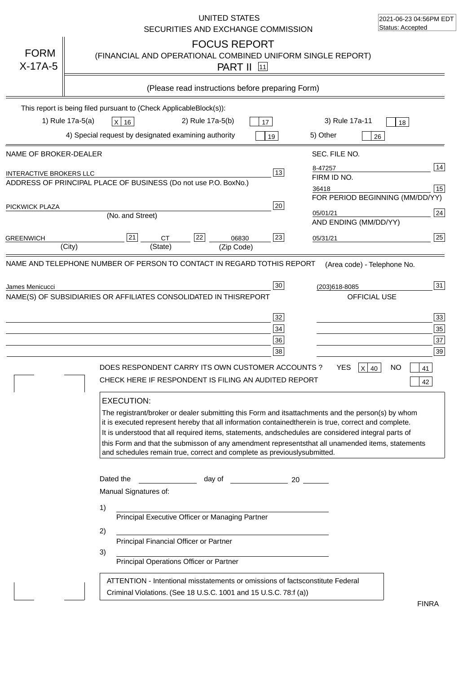|                                | UNITED STATES<br>SECURITIES AND EXCHANGE COMMISSION                                                                                                                                                                                                                                                                                                                                                                                                                                                                                                                                                                                                                                                                               | 2021-06-23 04:56PM EDT<br>Status: Accepted                                                           |
|--------------------------------|-----------------------------------------------------------------------------------------------------------------------------------------------------------------------------------------------------------------------------------------------------------------------------------------------------------------------------------------------------------------------------------------------------------------------------------------------------------------------------------------------------------------------------------------------------------------------------------------------------------------------------------------------------------------------------------------------------------------------------------|------------------------------------------------------------------------------------------------------|
| <b>FORM</b><br>$X-17A-5$       | <b>FOCUS REPORT</b><br>(FINANCIAL AND OPERATIONAL COMBINED UNIFORM SINGLE REPORT)<br><b>PART II</b> 11                                                                                                                                                                                                                                                                                                                                                                                                                                                                                                                                                                                                                            |                                                                                                      |
|                                | (Please read instructions before preparing Form)                                                                                                                                                                                                                                                                                                                                                                                                                                                                                                                                                                                                                                                                                  |                                                                                                      |
|                                | This report is being filed pursuant to (Check Applicable<br>$Block(s)$ :<br>1) Rule 17a-5(a)<br>2) Rule 17a-5(b)<br>3) Rule 17a-11<br>X 16<br>17                                                                                                                                                                                                                                                                                                                                                                                                                                                                                                                                                                                  | 18                                                                                                   |
|                                | 4) Special request by designated examining authority<br>5) Other<br>19                                                                                                                                                                                                                                                                                                                                                                                                                                                                                                                                                                                                                                                            | 26                                                                                                   |
| NAME OF BROKER-DEALER          | SEC. FILE NO.                                                                                                                                                                                                                                                                                                                                                                                                                                                                                                                                                                                                                                                                                                                     |                                                                                                      |
| <b>INTERACTIVE BROKERS LLC</b> | 8-47257<br>13<br>FIRM ID NO.<br>ADDRESS OF PRINCIPAL PLACE OF BUSINESS (Do not use P.O. Box<br>No.)<br>36418                                                                                                                                                                                                                                                                                                                                                                                                                                                                                                                                                                                                                      | 14<br>15                                                                                             |
| PICKWICK PLAZA                 | 20<br>05/01/21<br>(No. and Street)<br>AND ENDING (MM/DD/YY)                                                                                                                                                                                                                                                                                                                                                                                                                                                                                                                                                                                                                                                                       | FOR PERIOD BEGINNING (MM/DD/YY)<br>24                                                                |
| <b>GREENWICH</b>               | 22<br>23<br>21<br><b>CT</b><br>06830<br>05/31/21<br>(State)<br>(City)<br>(Zip Code)                                                                                                                                                                                                                                                                                                                                                                                                                                                                                                                                                                                                                                               | 25                                                                                                   |
|                                | NAME(S) OF SUBSIDIARIES OR AFFILIATES CONSOLIDATED IN THIS<br><b>REPORT</b><br>32<br>34<br>36<br>38<br>DOES RESPONDENT CARRY ITS OWN CUSTOMER ACCOUNTS ?<br>YES.<br>x<br>CHECK HERE IF RESPONDENT IS FILING AN AUDITED REPORT<br><b>EXECUTION:</b><br>The registrant/broker or dealer submitting this Form and its<br>attachments and the person(s) by whom<br>it is executed represent hereby that all information contained<br>therein is true, correct and complete.<br>It is understood that all required items, statements, and<br>schedules are considered integral parts of<br>this Form and that the submisson of any amendment represents<br>and schedules remain true, correct and complete as previously<br>submitted. | OFFICIAL USE<br>33<br>35<br>37<br>39<br>NΟ<br>40<br>41<br>42<br>that all unamended items, statements |
|                                | Dated the<br>day of<br>20<br>Manual Signatures of:<br>1)<br>Principal Executive Officer or Managing Partner<br>2)<br>Principal Financial Officer or Partner<br>3)<br>Principal Operations Officer or Partner<br>ATTENTION - Intentional misstatements or omissions of facts<br>constitute Federal<br>Criminal Violations. (See 18 U.S.C. 1001 and 15 U.S.C. 78:f (a)                                                                                                                                                                                                                                                                                                                                                              | <b>FINRA</b>                                                                                         |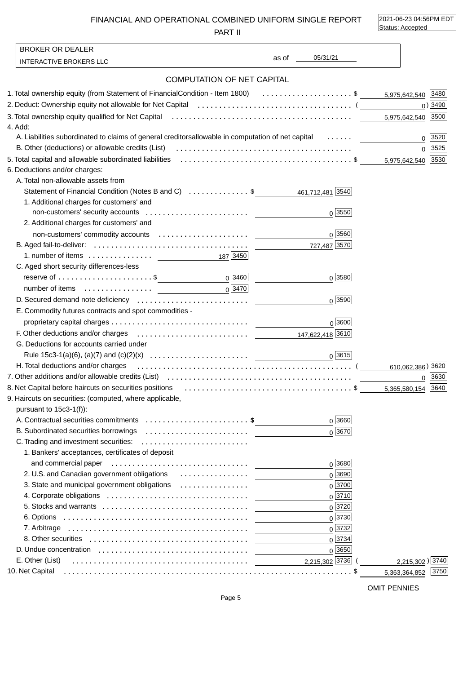FINANCIAL AND OPERATIONAL COMBINED UNIFORM SINGLE REPORT

PART II

2021-06-23 04:56PM EDT Status: Accepted

| <b>BROKER OR DEALER</b>                                                                                         |                                                                                                     |
|-----------------------------------------------------------------------------------------------------------------|-----------------------------------------------------------------------------------------------------|
| <b>INTERACTIVE BROKERS LLC</b>                                                                                  | 05/31/21<br>as of the control                                                                       |
|                                                                                                                 | <b>COMPUTATION OF NET CAPITAL</b>                                                                   |
|                                                                                                                 | 1. Total ownership equity (from Statement of Financial Condition - Item 1800) \$ 5,975,642,540 3480 |
| 2. Deduct: Ownership equity not allowable for Net Capital (all content content content content content of the   | 0)3490                                                                                              |
|                                                                                                                 | 5,975,642,540 3500                                                                                  |
| 4. Add:                                                                                                         |                                                                                                     |
| A. Liabilities subordinated to claims of general creditors allowable in computation of net capital              | 0   3520                                                                                            |
|                                                                                                                 | 0 3525                                                                                              |
|                                                                                                                 | 5,975,642,540 3530                                                                                  |
| 6. Deductions and/or charges:                                                                                   |                                                                                                     |
| A. Total non-allowable assets from                                                                              |                                                                                                     |
| Statement of Financial Condition (Notes B and C) \$ 461,712,481 3540                                            |                                                                                                     |
| 1. Additional charges for customers' and                                                                        |                                                                                                     |
| non-customers' security accounts                                                                                | $0\sqrt{3550}$                                                                                      |
| 2. Additional charges for customers' and                                                                        |                                                                                                     |
|                                                                                                                 | $0\sqrt{3560}$                                                                                      |
|                                                                                                                 | 727,487 3570                                                                                        |
|                                                                                                                 | 187 3450                                                                                            |
| C. Aged short security differences-less                                                                         |                                                                                                     |
| reserve of $\dots\dots\dots\dots\dots\dots\dots\dots$ \$                                                        | $0\sqrt{3460}$<br>0 3580                                                                            |
|                                                                                                                 | $0\sqrt{3470}$                                                                                      |
|                                                                                                                 | $0\sqrt{3590}$                                                                                      |
| E. Commodity futures contracts and spot commodities -                                                           |                                                                                                     |
|                                                                                                                 | 0 3600                                                                                              |
|                                                                                                                 |                                                                                                     |
| G. Deductions for accounts carried under                                                                        |                                                                                                     |
|                                                                                                                 | $0\sqrt{3615}$                                                                                      |
| H. Total deductions and/or charges entertainment contains and container and container and container the contain | 610,062,386) 3620                                                                                   |
| 7. Other additions and/or allowable credits (List) (all contain and contained according to the contained and c  | 0   3630                                                                                            |
| 8. Net Capital before haircuts on securities positions (all contained contained a second section of \$          | 5,365,580,154 3640                                                                                  |
| 9. Haircuts on securities: (computed, where applicable,                                                         |                                                                                                     |
| pursuant to 15c3-1(f)):                                                                                         |                                                                                                     |
| A. Contractual securities commitments \$                                                                        | $0\sqrt{3660}$                                                                                      |
| B. Subordinated securities borrowings                                                                           | 0 3670                                                                                              |
| C. Trading and investment securities:                                                                           |                                                                                                     |
| 1. Bankers' acceptances, certificates of deposit                                                                |                                                                                                     |
| and commercial paper (educational commercial paper)                                                             | 0 3680                                                                                              |
|                                                                                                                 | 0 3690                                                                                              |
| 3. State and municipal government obligations                                                                   | $0\sqrt{3700}$                                                                                      |
|                                                                                                                 | 0 3710                                                                                              |
|                                                                                                                 | 0 3720                                                                                              |
|                                                                                                                 | $0\sqrt{3730}$                                                                                      |
|                                                                                                                 | $0\sqrt{3732}$                                                                                      |
|                                                                                                                 | $0\sqrt{3734}$                                                                                      |
| E. Other (List)                                                                                                 | $0\sqrt{3650}$<br>2,215,302 3736                                                                    |
| 10. Net Capital                                                                                                 | 2,215,302) 3740                                                                                     |
|                                                                                                                 | 3750 <br>5,363,364,852                                                                              |

OMIT PENNIES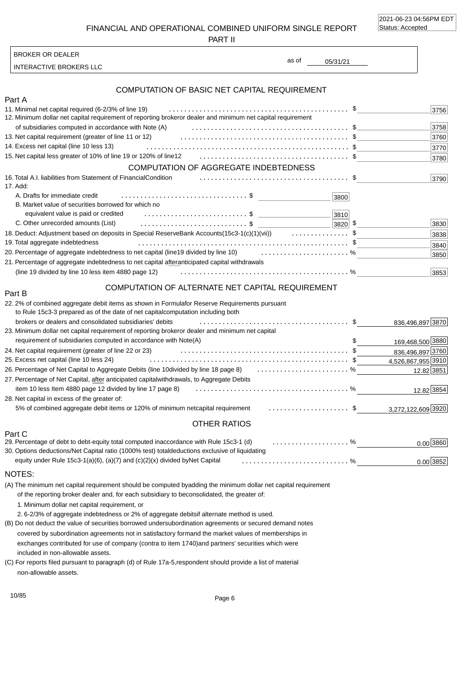2021-06-23 04:56PM EDT Status: Accepted

FINANCIAL AND OPERATIONAL COMBINED UNIFORM SINGLE REPORT

PART II

INTERACTIVE BROKERS LLC

BROKER OR DEALER

05/31/21 as of

### COMPUTATION OF BASIC NET CAPITAL REQUIREMENT

| 11. Minimal net capital required (6-2/3% of line 19)                                                                                |      | 3756 |
|-------------------------------------------------------------------------------------------------------------------------------------|------|------|
| 12. Minimum dollar net capital requirement of reporting broker<br>or dealer and minimum net capital requirement                     |      |      |
| of subsidiaries computed in accordance with Note (A)                                                                                |      | 3758 |
| 13. Net capital requirement (greater of line 11 or 12)                                                                              |      | 3760 |
| 14. Excess net capital (line 10 less 13)                                                                                            |      | 3770 |
|                                                                                                                                     |      | 3780 |
| <b>COMPUTATION OF AGGREGATE INDEBTEDNESS</b>                                                                                        |      |      |
| 16. Total A.I. liabilities from Statement of Financial<br>Condition                                                                 |      | 3790 |
| 17. Add:                                                                                                                            |      |      |
| A. Drafts for immediate credit<br>3800                                                                                              |      |      |
| B. Market value of securities borrowed for which no                                                                                 |      |      |
| equivalent value is paid or credited<br>3810                                                                                        |      |      |
| C. Other unrecorded amounts (List)<br> 3820                                                                                         | - \$ | 3830 |
| 18. Deduct: Adjustment based on deposits in Special Reserve Bank Accounts(15c3-1(c)(1)(vii)) \$                                     |      | 3838 |
| 19. Total aggregate indebtedness                                                                                                    |      | 3840 |
| 20. Percentage of aggregate indebtedness to net capital (line<br>19 divided by line 10) $\ldots \ldots \ldots \ldots \ldots \ldots$ |      | 3850 |
| 21. Percentage of aggregate indebtedness to net capital after<br>anticipated capital withdrawals                                    |      |      |
| (line 19 divided by line 10 less item 4880 page 12)                                                                                 |      | 3853 |
|                                                                                                                                     |      |      |

#### Part B

Part A

## COMPUTATION OF ALTERNATE NET CAPITAL REQUIREMENT

| 22.2% of combined aggregate debit items as shown in Formula for Reserve Requirements pursuant       |                    |
|-----------------------------------------------------------------------------------------------------|--------------------|
| to Rule 15c3-3 prepared as of the date of net capital computation including both                    |                    |
| brokers or dealers and consolidated subsidiaries' debits                                            | 836,496,897 3870   |
| or dealer and minimum net capital<br>23. Minimum dollar net capital requirement of reporting broker |                    |
| requirement of subsidiaries computed in accordance with Note(A)                                     | 169,468,500 3880   |
| 24. Net capital requirement (greater of line 22 or 23)                                              | 836,496,897 3760   |
| 25. Excess net capital (line 10 less 24)                                                            | 4,526,867,955 3910 |
| 26. Percentage of Net Capital to Aggregate Debits (line 10 divided by line 18 page 8)  %            | 12.82 3851         |
| 27. Percentage of Net Capital, after anticipated capital<br>withdrawals, to Aggregate Debits        |                    |
| item 10 less Item 4880 page 12 divided by line 17 page 8)                                           | 12.82 3854         |
| 28. Net capital in excess of the greater of:                                                        |                    |
| capital requirement \$<br>5% of combined aggregate debit items or 120% of minimum net               | 3,272,122,609 3920 |
| OTHER RATIOS                                                                                        |                    |
| Part C                                                                                              |                    |

| 29. Percentage of debt to debt-equity total computed in accordance with Rule 15c3-1 (d) %                                      | $0.00$ 3860 |
|--------------------------------------------------------------------------------------------------------------------------------|-------------|
| 30. Options deductions/Net Capital ratio (1000% test) total deductions exclusive of liquidating                                |             |
| equity under Rule 15c3-1(a)(6), (a)(7) and (c)(2)(x) divided by Net Capital $\ldots \ldots \ldots \ldots \ldots \ldots \ldots$ | $0.00$ 3852 |

#### NOTES:

(A) The minimum net capital requirement should be computed by adding the minimum dollar net capital requirement

of the reporting broker dealer and, for each subsidiary to be consolidated, the greater of:

1. Minimum dollar net capital requirement, or

2. 6-2/3% of aggregate indebtedness or 2% of aggregate debits if alternate method is used.

included in non-allowable assets. (B) Do not deduct the value of securities borrowed under subordination agreements or secured demand notes covered by subordination agreements not in satisfactory form and the market values of memberships in exchanges contributed for use of company (contra to item 1740) and partners' securities which were

non-allowable assets. (C) For reports filed pursuant to paragraph (d) of Rule 17a-5, respondent should provide a list of material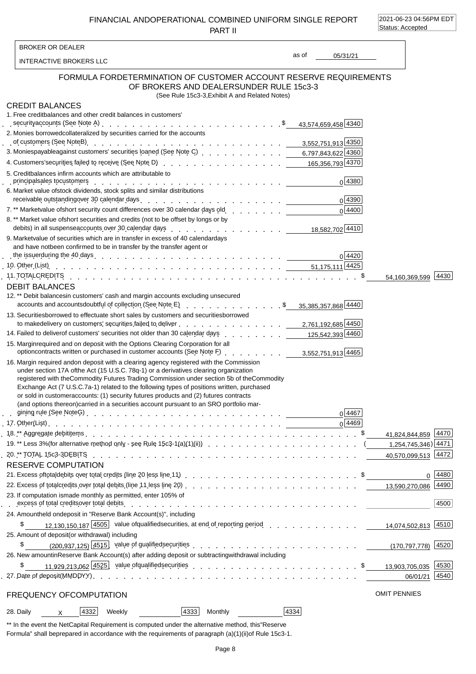FINANCIAL AND OPERATIONAL COMBINED UNIFORM SINGLE REPORT PART II

2021-06-23 04:56PM EDT Status: Accepted

| <b>BROKER OR DEALER</b>                                                                                                                                                                                                                                                                         |       |          |                        |        |
|-------------------------------------------------------------------------------------------------------------------------------------------------------------------------------------------------------------------------------------------------------------------------------------------------|-------|----------|------------------------|--------|
| INTERACTIVE BROKERS LLC                                                                                                                                                                                                                                                                         | as of | 05/31/21 |                        |        |
| FORMULA FOR DETERMINATION OF CUSTOMER ACCOUNT RESERVE REQUIREMENTS<br>OF BROKERS AND DEALERS UNDER RULE 15c3-3<br>(See Rule 15c3-3, Exhibit A and Related Notes)                                                                                                                                |       |          |                        |        |
|                                                                                                                                                                                                                                                                                                 |       |          |                        |        |
| <b>CREDIT BALANCES</b><br>1. Free credit balances and other credit balances in customers'                                                                                                                                                                                                       |       |          |                        |        |
|                                                                                                                                                                                                                                                                                                 |       |          |                        |        |
| 2. Monies borrowed collateralized by securities carried for the accounts                                                                                                                                                                                                                        |       |          |                        |        |
| of customers (See Note B) $\ldots$ $\ldots$ $\ldots$ $\ldots$ $\ldots$ $\ldots$ $\ldots$ $\ldots$ $\ldots$ $\ldots$ 3,552,751,913 $\frac{4350}{4350}$                                                                                                                                           |       |          |                        |        |
| 3. Monies payable against customers' securities loaned (See Note C)<br>3. Monies payable against customers' securities loaned (See Note C)                                                                                                                                                      |       |          |                        |        |
| 4. Customers' securities failed to receive (See Note D) enter contact contact contact contact contact contact contact and customers' securities failed to receive (See Note D) enter contact contact contact contact contact c<br>5. Credit balances in firm accounts which are attributable to |       |          |                        |        |
|                                                                                                                                                                                                                                                                                                 |       | 0 4380   |                        |        |
| 6. Market value of stock dividends, stock splits and similar distributions                                                                                                                                                                                                                      |       |          |                        |        |
| receivable outstanding over 30 calendar days enter the state of the state of the state of the state of the state of the state of the state of the state of the state of the state of the state of the state of the state of th                                                                  |       | 0 4390   |                        |        |
| 7.** Market value of short security count differences over 30 calendar days old contact contact of                                                                                                                                                                                              |       | 0 4400   |                        |        |
| 8. ** Market value of short securities and credits (not to be offset by longs or by<br>debits) in all suspense accounts over 30 calendar days enter the content of the state of $18,582,702$ 4410                                                                                               |       |          |                        |        |
| 9. Market value of securities which are in transfer in excess of 40 calendar days                                                                                                                                                                                                               |       |          |                        |        |
| and have not been confirmed to be in transfer by the transfer agent or                                                                                                                                                                                                                          |       |          |                        |        |
| the issuer during the 40 days enter the set of the set of the set of the set of the set of the set of the set of the set of the set of the set of the set of the set of the set of the set of the set of the set of the set o                                                                   |       | 0 4420   |                        |        |
|                                                                                                                                                                                                                                                                                                 |       |          |                        |        |
| 11. TOTAL CREDITS Research And The Case of Alling Case of Alling Case of Alling Case of Alling Case of Alling C                                                                                                                                                                                 |       |          | 54,160,369,599 4430    |        |
| <b>DEBIT BALANCES</b><br>12.** Debit balances in customers' cash and margin accounts excluding unsecured                                                                                                                                                                                        |       |          |                        |        |
| accounts and accounts doubtful of collection (See Note E) etc. compared a counts and accounts and accounts doubtful of collection (See Note E) etc. compared a comparation of $\frac{4440}{5}$                                                                                                  |       |          |                        |        |
| 13. Securities borrowed to effectuate short sales by customers and securities borrowed                                                                                                                                                                                                          |       |          |                        |        |
| to make delivery on customers' securities failed to deliver enterprised by the case of the cases and the control of the control of the control of the control of the control of the control of the control of the control of t                                                                  |       |          |                        |        |
| 1460 14. Failed to deliver of customers' securities not older than 30 calendar days entitled by a state of 125,542,393 4460                                                                                                                                                                     |       |          |                        |        |
| 15. Margin required and on deposit with the Options Clearing Corporation for all<br>option contracts written or purchased in customer accounts (See Note F) 3,552,751,913 4465                                                                                                                  |       |          |                        |        |
| 16. Margin required and on deposit with a clearing agency registered with the Commission<br>under section 17A of the Act (15 U.S.C. 78q-1) or a derivatives clearing organization<br>registered with the Commodity Futures Trading Commission under section 5b of the Commodity                 |       |          |                        |        |
| Exchange Act (7 U.S.C. 7a-1) related to the following types of positions written, purchased<br>or sold in customer accounts: (1) security futures products and (2) futures contracts<br>(and options thereon) carried in a securities account pursuant to an SRO portfolio mar-                 |       |          |                        |        |
|                                                                                                                                                                                                                                                                                                 |       | 0 4467   |                        |        |
|                                                                                                                                                                                                                                                                                                 |       | $0$ 4469 |                        |        |
|                                                                                                                                                                                                                                                                                                 |       |          | 41,824,844,859 4470    |        |
|                                                                                                                                                                                                                                                                                                 |       |          |                        |        |
|                                                                                                                                                                                                                                                                                                 |       |          | 40,570,099,513 4472    |        |
| <b>RESERVE COMPUTATION</b>                                                                                                                                                                                                                                                                      |       |          |                        |        |
|                                                                                                                                                                                                                                                                                                 |       |          |                        | 0 4480 |
|                                                                                                                                                                                                                                                                                                 |       |          |                        |        |
| 23. If computation is made monthly as permitted, enter 105% of<br>excess of total credits over total debits                                                                                                                                                                                     |       |          |                        | 4500   |
| 24. Amount held on deposit in "Reserve Bank Account(s)", including                                                                                                                                                                                                                              |       |          |                        |        |
| 12.130.150.187 4505 value of qualified securities, at end of reporting period [math of all contacts of the securities, at end of reporting period [math of all contacts of the securities of the securities of the securities<br>\$                                                             |       |          | 14,074,502,813 4510    |        |
| 25. Amount of deposit (or withdrawal) including                                                                                                                                                                                                                                                 |       |          |                        |        |
| $(200.937.125)$ $4515$ value of qualified securities example $(200.937.125)$<br>\$                                                                                                                                                                                                              |       |          | $(170, 797, 778)$ 4520 |        |
| 26. New amount in Reserve Bank Account(s) after adding deposit or subtracting withdrawal including                                                                                                                                                                                              |       |          |                        |        |
| \$                                                                                                                                                                                                                                                                                              |       |          |                        |        |
|                                                                                                                                                                                                                                                                                                 |       |          | 06/01/21 4540          |        |
| FREQUENCY OF COMPUTATION                                                                                                                                                                                                                                                                        |       |          | <b>OMIT PENNIES</b>    |        |
| 4332 Weekly<br>$ 4333 $ Monthly<br>28. Daily<br>$\times$                                                                                                                                                                                                                                        | 4334  |          |                        |        |
| ** In the event the Net Capital Requirement is computed under the alternative method, this "Reserve                                                                                                                                                                                             |       |          |                        |        |

Formula" shall be prepared in accordance with the requirements of paragraph (a)(1)(ii) of Rule 15c3-1.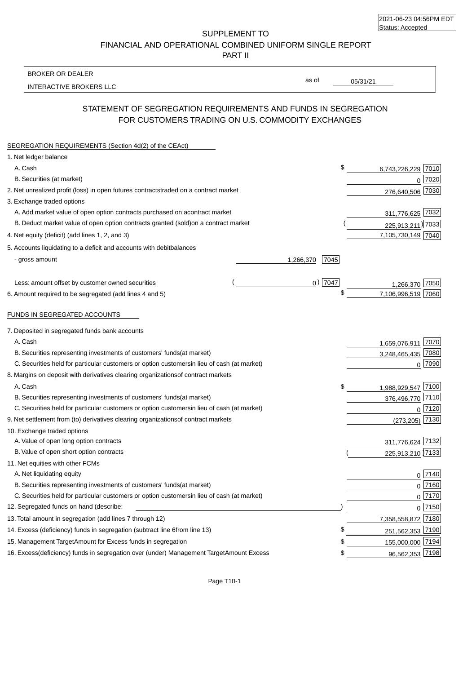SUPPLEMENT TO FINANCIAL AND OPERATIONAL COMBINED UNIFORM SINGLE REPORT

PART II

#### BROKER OR DEALER

INTERACTIVE BROKERS LLC

05/31/21

as of

# STATEMENT OF SEGREGATION REQUIREMENTS AND FUNDS IN SEGREGATION FOR CUSTOMERS TRADING ON U.S. COMMODITY EXCHANGES

| SEGREGATION REQUIREMENTS (Section 4d(2) of the CEAct)                                          |           |                        |
|------------------------------------------------------------------------------------------------|-----------|------------------------|
| 1. Net ledger balance                                                                          |           |                        |
| A. Cash                                                                                        | \$        | 7010<br>6,743,226,229  |
| B. Securities (at market)                                                                      |           | 7020<br>$\Omega$       |
| 2. Net unrealized profit (loss) in open futures contracts<br>traded on a contract market       |           | 276,640,506 7030       |
| 3. Exchange traded options                                                                     |           |                        |
| A. Add market value of open option contracts purchased on a<br>contract market                 |           | 7032<br>311,776,625    |
| B. Deduct market value of open option contracts granted (sold)<br>on a contract market         |           | 225,913,211) 7033      |
| 4. Net equity (deficit) (add lines 1, 2, and 3)                                                |           | 7,105,730,149 7040     |
| 5. Accounts liquidating to a deficit and accounts with debit<br>balances                       |           |                        |
| - gross amount<br>1,266,370                                                                    | 7045      |                        |
| Less: amount offset by customer owned securities                                               | $0)$ 7047 | 1,266,370 7050         |
| 6. Amount required to be segregated (add lines 4 and 5)                                        |           | 7,106,996,519 7060     |
| FUNDS IN SEGREGATED ACCOUNTS                                                                   |           |                        |
| 7. Deposited in segregated funds bank accounts                                                 |           |                        |
| A. Cash                                                                                        |           | 7070<br>1,659,076,911  |
| B. Securities representing investments of customers' funds<br>(at market)                      |           | 3,248,465,435<br> 7080 |
| C. Securities held for particular customers or option customers<br>in lieu of cash (at market) |           | $0$ 7090               |
| 8. Margins on deposit with derivatives clearing organizations<br>of contract markets           |           |                        |
| A. Cash                                                                                        | \$        | 1,988,929,547 7100     |
| B. Securities representing investments of customers' funds<br>(at market)                      |           | 376,496,770 7110       |
| C. Securities held for particular customers or option customers<br>in lieu of cash (at market) |           | $0^{7120}$             |
| 9. Net settlement from (to) derivatives clearing organizations<br>of contract markets          |           | $(273,205)$ 7130       |
| 10. Exchange traded options                                                                    |           |                        |
| A. Value of open long option contracts                                                         |           | 311,776,624 7132       |
| B. Value of open short option contracts                                                        |           | 225,913,210 7133       |
| 11. Net equities with other FCMs                                                               |           |                        |
| A. Net liquidating equity                                                                      |           | $0$   $7140$           |
| B. Securities representing investments of customers' funds<br>(at market)                      |           | $0$ 7160               |
| C. Securities held for particular customers or option customers<br>in lieu of cash (at market) |           | $0$   $7170$           |
| 12. Segregated funds on hand (describe:                                                        |           | $0$   $7150$           |
| 13. Total amount in segregation (add lines 7 through 12)                                       |           | 7,358,558,872 7180     |
| 14. Excess (deficiency) funds in segregation (subtract line 6 from line 13)                    | \$        | 251,562,353 7190       |
| 15. Management Target Amount for Excess funds in segregation                                   | \$        | 155,000,000 7194       |
| 16. Excess (deficiency) funds in segregation over (under) Management Target Amount Excess      | \$        | 96,562,353 7198        |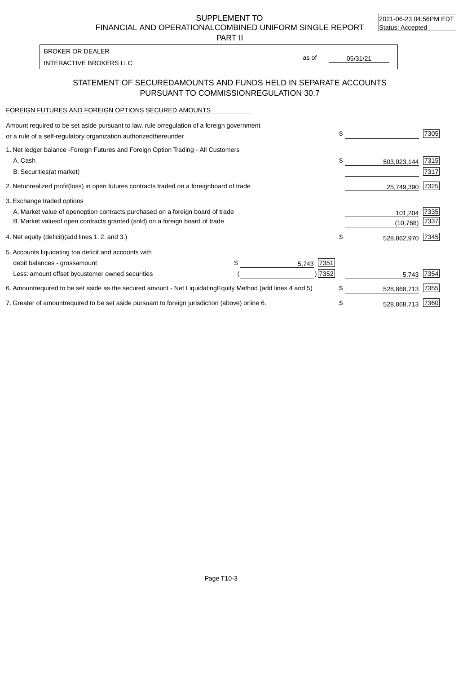2021-06-23 04:56PM EDT

SUPPLEMENT TO

FINANCIAL AND OPERATIONAL COMBINED UNIFORM SINGLE REPORT Status: Accepted

PART II

INTERACTIVE BROKERS LLC and the state of the state of the state of the state of the state of the state of the state of the state of the state of the state of the state of the state of the state of the state of the state of BROKER OR DEALER

as of

## STATEMENT OF SECURED AMOUNTS AND FUNDS HELD IN SEPARATE ACCOUNTS PURSUANT TO COMMISSION REGULATION 30.7

### FOREIGN FUTURES AND FOREIGN OPTIONS SECURED AMOUNTS

| Amount required to be set aside pursuant to law, rule or<br>regulation of a foreign government<br>or a rule of a self-regulatory organization authorized<br>thereunder |                                   | \$                | 7305 |
|------------------------------------------------------------------------------------------------------------------------------------------------------------------------|-----------------------------------|-------------------|------|
| 1. Net ledger balance - Foreign Futures and Foreign Option Trading - All Customers                                                                                     |                                   |                   |      |
| A. Cash                                                                                                                                                                |                                   | \$<br>503,023,144 | 7315 |
| <b>B.</b> Securities<br>(at market)                                                                                                                                    |                                   |                   | 7317 |
| unrealized profit (loss) in open futures contracts traded on a foreign<br>2. Net                                                                                       | board of trade                    | 25,749,390        | 7325 |
| 3. Exchange traded options                                                                                                                                             |                                   |                   |      |
| A. Market value of open option contracts purchased on a foreign board of trade                                                                                         |                                   | 101,204           | 7335 |
| B. Market value of open contracts granted (sold) on a foreign board of trade                                                                                           |                                   | (10, 768)         | 7337 |
| 4. Net equity (deficit) (add lines 1.2. and 3.)                                                                                                                        |                                   | 528,862,970       | 7345 |
| 5. Accounts liquidating to a deficit and accounts with                                                                                                                 |                                   |                   |      |
| debit balances - gross<br>amount                                                                                                                                       | 7351<br>5,743                     |                   |      |
| Less: amount offset by customer owned securities                                                                                                                       | 7352                              | 5,743             | 7354 |
| 6. Amount required to be set aside as the secured amount - Net Liquidating                                                                                             | Equity Method (add lines 4 and 5) | \$<br>528,868,713 | 7355 |
| 7. Greater of amount required to be set aside pursuant to foreign jurisdiction (above) or line 6.                                                                      |                                   | 528,868,713       | 7360 |

Page T10-3